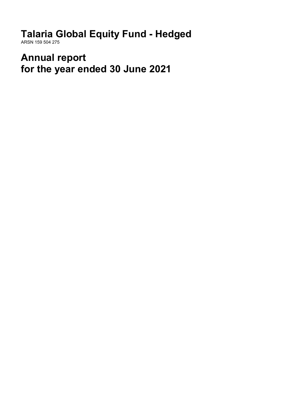**Talaria Global Equity Fund - Hedged** ARSN 159 504 275

**Annual report for the year ended 30 June 2021**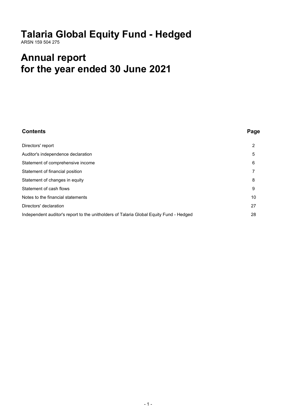# **Talaria Global Equity Fund - Hedged**

ARSN 159 504 275

# **Annual report for the year ended 30 June 2021**

| <b>Contents</b>                                                                        | Page |
|----------------------------------------------------------------------------------------|------|
| Directors' report                                                                      | 2    |
| Auditor's independence declaration                                                     | 5    |
| Statement of comprehensive income                                                      | 6    |
| Statement of financial position                                                        | 7    |
| Statement of changes in equity                                                         | 8    |
| Statement of cash flows                                                                | 9    |
| Notes to the financial statements                                                      | 10   |
| Directors' declaration                                                                 | 27   |
| Independent auditor's report to the unitholders of Talaria Global Equity Fund - Hedged | 28   |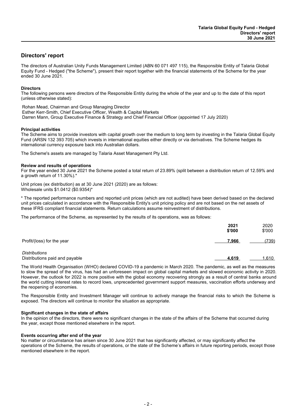## **Directors' report**

The directors of Australian Unity Funds Management Limited (ABN 60 071 497 115), the Responsible Entity of Talaria Global Equity Fund - Hedged ("the Scheme"), present their report together with the financial statements of the Scheme for the year ended 30 June 2021.

## **Directors**

The following persons were directors of the Responsible Entity during the whole of the year and up to the date of this report (unless otherwise stated):

Rohan Mead, Chairman and Group Managing Director Esther Kerr-Smith, Chief Executive Officer, Wealth & Capital Markets Darren Mann, Group Executive Finance & Strategy and Chief Financial Officer (appointed 17 July 2020)

## **Principal activities**

The Scheme aims to provide investors with capital growth over the medium to long term by investing in the Talaria Global Equity Fund (ARSN 132 393 705) which invests in international equities either directly or via derivatives. The Scheme hedges its international currency exposure back into Australian dollars.

The Scheme's assets are managed by Talaria Asset Management Pty Ltd.

#### **Review and results of operations**

For the year ended 30 June 2021 the Scheme posted a total return of 23.89% (split between a distribution return of 12.59% and a growth return of 11.30%).\*

Unit prices (ex distribution) as at 30 June 2021 (2020) are as follows: Wholesale units \$1.0412 (\$0.9354)\*

\* The reported performance numbers and reported unit prices (which are not audited) have been derived based on the declared unit prices calculated in accordance with the Responsible Entity's unit pricing policy and are not based on the net assets of these IFRS compliant financial statements. Return calculations assume reinvestment of distributions.

The performance of the Scheme, as represented by the results of its operations, was as follows:

|                                                        | 2021<br>\$'000 | 2020<br>\$'000 |
|--------------------------------------------------------|----------------|----------------|
| Profit/(loss) for the year                             | 7,966          | (739)          |
| <b>Distributions</b><br>Distributions paid and payable | 4,619          | 1,610          |

The World Health Organisation (WHO) declared COVID-19 a pandemic in March 2020. The pandemic, as well as the measures to slow the spread of the virus, has had an unforeseen impact on global capital markets and slowed economic activity in 2020. However, the outlook for 2022 is more positive with the global economy recovering strongly as a result of central banks around the world cutting interest rates to record lows, unprecedented government support measures, vaccination efforts underway and the reopening of economies.

The Responsible Entity and Investment Manager will continue to actively manage the financial risks to which the Scheme is exposed. The directors will continue to monitor the situation as appropriate.

#### **Significant changes in the state of affairs**

In the opinion of the directors, there were no significant changes in the state of the affairs of the Scheme that occurred during the year, except those mentioned elsewhere in the report.

## **Events occurring after end of the year**

No matter or circumstance has arisen since 30 June 2021 that has significantly affected, or may significantly affect the operations of the Scheme, the results of operations, or the state of the Scheme's affairs in future reporting periods, except those mentioned elsewhere in the report.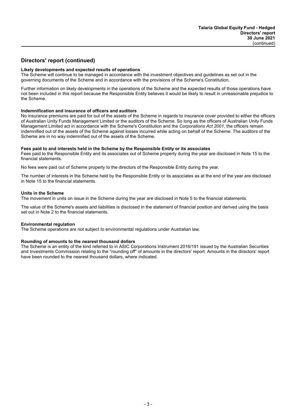## **Directors' report (continued)**

## **Likely developments and expected results of operations**

The Scheme will continue to be managed in accordance with the investment objectives and guidelines as set out in the governing documents of the Scheme and in accordance with the provisions of the Scheme's Constitution.

Further information on likely developments in the operations of the Scheme and the expected results of those operations have not been included in this report because the Responsible Entity believes it would be likely to result in unreasonable prejudice to the Scheme.

#### **Indemnification and insurance of officers and auditors**

No insurance premiums are paid for out of the assets of the Scheme in regards to insurance cover provided to either the officers of Australian Unity Funds Management Limited or the auditors of the Scheme. So long as the officers of Australian Unity Funds Management Limited act in accordance with the Scheme's Constitution and the *Corporations Act 2001*, the officers remain indemnified out of the assets of the Scheme against losses incurred while acting on behalf of the Scheme. The auditors of the Scheme are in no way indemnified out of the assets of the Scheme.

#### **Fees paid to and interests held in the Scheme by the Responsible Entity or its associates**

Fees paid to the Responsible Entity and its associates out of Scheme property during the year are disclosed in Note 15 to the financial statements.

No fees were paid out of Scheme property to the directors of the Responsible Entity during the year.

The number of interests in the Scheme held by the Responsible Entity or its associates as at the end of the year are disclosed in Note 15 to the financial statements.

#### **Units in the Scheme**

The movement in units on issue in the Scheme during the year are disclosed in Note 5 to the financial statements.

The value of the Scheme's assets and liabilities is disclosed in the statement of financial position and derived using the basis set out in Note 2 to the financial statements.

## **Environmental regulation**

The Scheme operations are not subject to environmental regulations under Australian law.

#### **Rounding of amounts to the nearest thousand dollars**

The Scheme is an entity of the kind referred to in ASIC Corporations Instrument 2016/191 issued by the Australian Securities and Investments Commission relating to the ''rounding off'' of amounts in the directors' report. Amounts in the directors' report have been rounded to the nearest thousand dollars, where indicated.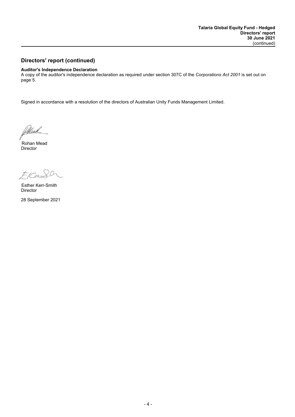## **Directors' report (continued)**

## **Auditor's Independence Declaration**

A copy of the auditor's independence declaration as required under section 307C of the *Corporations Act 2001* is set out on page 5.

Signed in accordance with a resolution of the directors of Australian Unity Funds Management Limited.

Millead

Director Rohan Mead

Frad  $\Omega$ 

Director Esther Kerr-Smith

28 September 2021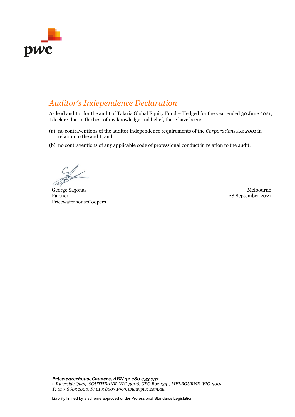

## *Auditor's Independence Declaration*

As lead auditor for the audit of Talaria Global Equity Fund – Hedged for the year ended 30 June 2021, I declare that to the best of my knowledge and belief, there have been:

- (a) no contraventions of the auditor independence requirements of the *Corporations Act 2001* in relation to the audit; and
- (b) no contraventions of any applicable code of professional conduct in relation to the audit.

George Sagonas Melbourne Partner PricewaterhouseCoopers

28 September 2021

*PricewaterhouseCoopers, ABN 52 780 433 757 2 Riverside Quay, SOUTHBANK VIC 3006, GPO Box 1331, MELBOURNE VIC 3001 T: 61 3 8603 1000, F: 61 3 8603 1999, www.pwc.com.au*

Liability limited by a scheme approved under Professional Standards Legislation.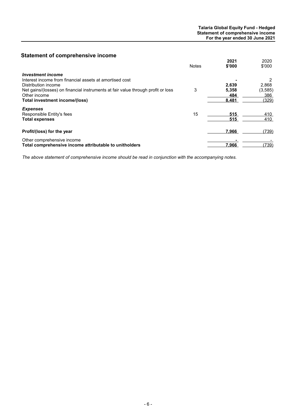## **Statement of comprehensive income**

|                                                                                  | <b>Notes</b> | 2021<br>\$'000 | 2020<br>\$'000 |
|----------------------------------------------------------------------------------|--------------|----------------|----------------|
| <b>Investment income</b>                                                         |              |                |                |
| Interest income from financial assets at amortised cost                          |              |                | 2              |
| Distribution income                                                              |              | 2.639          | 2,868          |
| Net gains/(losses) on financial instruments at fair value through profit or loss | 3            | 5,358          | (3, 585)       |
| Other income                                                                     |              | 484            | 386            |
| Total investment income/(loss)                                                   |              | 8,481          | (329)          |
| <b>Expenses</b>                                                                  |              |                |                |
| Responsible Entity's fees                                                        | 15           | 515            | 410            |
| <b>Total expenses</b>                                                            |              | 515            | 410            |
| Profit/(loss) for the year                                                       |              | 7,966          | (739)          |
| Other comprehensive income                                                       |              |                |                |
| Total comprehensive income attributable to unitholders                           |              | 7.966          | (739)          |

*The above statement of comprehensive income should be read in conjunction with the accompanying notes.*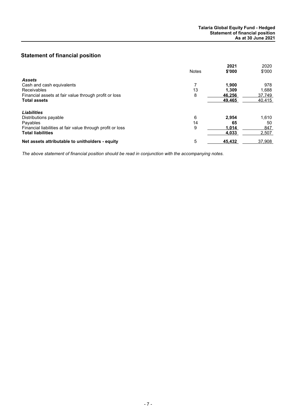## **Statement of financial position**

|                                                            | <b>Notes</b> | 2021<br>\$'000 | 2020<br>\$'000 |
|------------------------------------------------------------|--------------|----------------|----------------|
| <b>Assets</b>                                              |              |                |                |
| Cash and cash equivalents                                  |              | 1.900          | 978            |
| <b>Receivables</b>                                         | 13           | 1.309          | 1.688          |
| Financial assets at fair value through profit or loss      | 8            | 46.256         | 37,749         |
| <b>Total assets</b>                                        |              | 49,465         | 40,415         |
| <b>Liabilities</b>                                         |              |                |                |
| Distributions payable                                      | 6            | 2.954          | 1.610          |
| Payables                                                   | 14           | 65             | 50             |
| Financial liabilities at fair value through profit or loss | 9            | 1,014          | 847            |
| <b>Total liabilities</b>                                   |              | 4,033          | 2,507          |
| Net assets attributable to unitholders - equity            | 5            | 45.432         | 37.908         |

*The above statement of financial position should be read in conjunction with the accompanying notes.*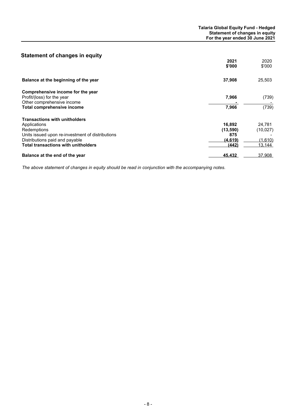## **Statement of changes in equity**

|                                                  | 2021<br>\$'000 | 2020<br>\$'000 |
|--------------------------------------------------|----------------|----------------|
| Balance at the beginning of the year             | 37,908         | 25,503         |
| Comprehensive income for the year                |                |                |
| Profit/(loss) for the year                       | 7,966          | (739)          |
| Other comprehensive income                       |                |                |
| Total comprehensive income                       | 7,966          | (739)          |
| <b>Transactions with unitholders</b>             |                |                |
| Applications                                     | 16,892         | 24,781         |
| Redemptions                                      | (13,590)       | (10,027)       |
| Units issued upon re-investment of distributions | 875            |                |
| Distributions paid and payable                   | (4,619)        | (1,610)        |
| <b>Total transactions with unitholders</b>       | (442)          | 13,144         |
| Balance at the end of the year                   | 45,432         | 37,908         |

*The above statement of changes in equity should be read in conjunction with the accompanying notes.*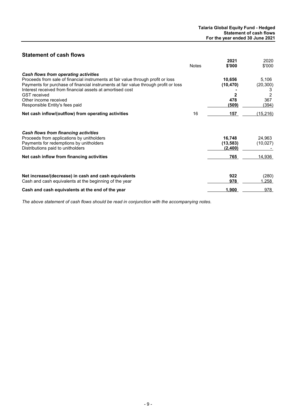## **Statement of cash flows**

|                                                                                                                                                                                                                                                                                                                                                                | <b>Notes</b> | 2021<br>\$'000                      | 2020<br>\$'000                               |
|----------------------------------------------------------------------------------------------------------------------------------------------------------------------------------------------------------------------------------------------------------------------------------------------------------------------------------------------------------------|--------------|-------------------------------------|----------------------------------------------|
| Cash flows from operating activities<br>Proceeds from sale of financial instruments at fair value through profit or loss<br>Payments for purchase of financial instruments at fair value through profit or loss<br>Interest received from financial assets at amortised cost<br><b>GST</b> received<br>Other income received<br>Responsible Entity's fees paid |              | 10,656<br>(10, 470)<br>478<br>(509) | 5,106<br>(20, 300)<br>3<br>2<br>367<br>(394) |
| Net cash inflow/(outflow) from operating activities                                                                                                                                                                                                                                                                                                            | 16           | 157                                 | (15, 216)                                    |
| Cash flows from financing activities<br>Proceeds from applications by unitholders<br>Payments for redemptions by unitholders<br>Distributions paid to unitholders                                                                                                                                                                                              |              | 16,748<br>(13, 583)<br>(2,400)      | 24,963<br>(10, 027)                          |
| Net cash inflow from financing activities                                                                                                                                                                                                                                                                                                                      |              | 765                                 | 14.936                                       |
| Net increase/(decrease) in cash and cash equivalents<br>Cash and cash equivalents at the beginning of the year                                                                                                                                                                                                                                                 |              | 922<br>978                          | (280)<br>.258                                |
| Cash and cash equivalents at the end of the year                                                                                                                                                                                                                                                                                                               |              | 1,900                               | 978                                          |

*The above statement of cash flows should be read in conjunction with the accompanying notes.*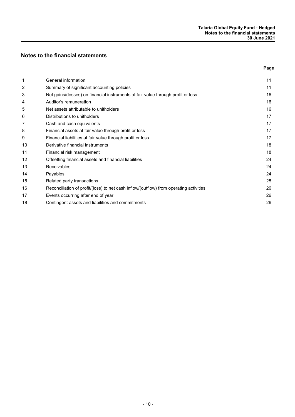## **Notes to the financial statements**

|    |                                                                                        | Page |
|----|----------------------------------------------------------------------------------------|------|
| 1  | General information                                                                    | 11   |
| 2  | Summary of significant accounting policies                                             | 11   |
| 3  | Net gains/(losses) on financial instruments at fair value through profit or loss       | 16   |
| 4  | Auditor's remuneration                                                                 | 16   |
| 5  | Net assets attributable to unitholders                                                 | 16   |
| 6  | Distributions to unitholders                                                           | 17   |
| 7  | Cash and cash equivalents                                                              | 17   |
| 8  | Financial assets at fair value through profit or loss                                  | 17   |
| 9  | Financial liabilities at fair value through profit or loss                             | 17   |
| 10 | Derivative financial instruments                                                       | 18   |
| 11 | Financial risk management                                                              | 18   |
| 12 | Offsetting financial assets and financial liabilities                                  | 24   |
| 13 | <b>Receivables</b>                                                                     | 24   |
| 14 | Payables                                                                               | 24   |
| 15 | Related party transactions                                                             | 25   |
| 16 | Reconciliation of profit/(loss) to net cash inflow/(outflow) from operating activities | 26   |
| 17 | Events occurring after end of year                                                     | 26   |
| 18 | Contingent assets and liabilities and commitments                                      | 26   |
|    |                                                                                        |      |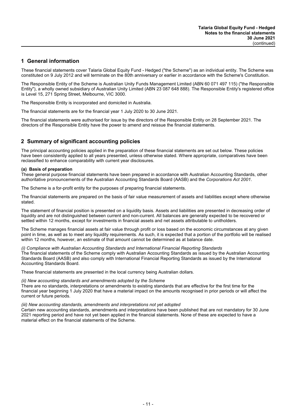## **1 General information**

These financial statements cover Talaria Global Equity Fund - Hedged ("the Scheme") as an individual entity. The Scheme was constituted on 9 July 2012 and will terminate on the 80th anniversary or earlier in accordance with the Scheme's Constitution.

The Responsible Entity of the Scheme is Australian Unity Funds Management Limited (ABN 60 071 497 115) ("the Responsible Entity"), a wholly owned subsidiary of Australian Unity Limited (ABN 23 087 648 888). The Responsible Entity's registered office is Level 15, 271 Spring Street, Melbourne, VIC 3000.

The Responsible Entity is incorporated and domiciled in Australia.

The financial statements are for the financial year 1 July 2020 to 30 June 2021.

The financial statements were authorised for issue by the directors of the Responsible Entity on 28 September 2021. The directors of the Responsible Entity have the power to amend and reissue the financial statements.

## **2 Summary of significant accounting policies**

The principal accounting policies applied in the preparation of these financial statements are set out below. These policies have been consistently applied to all years presented, unless otherwise stated. Where appropriate, comparatives have been reclassified to enhance comparability with current year disclosures.

## **(a) Basis of preparation**

These general purpose financial statements have been prepared in accordance with Australian Accounting Standards, other authoritative pronouncements of the Australian Accounting Standards Board (AASB) and the *Corporations Act 2001*.

The Scheme is a for-profit entity for the purposes of preparing financial statements.

The financial statements are prepared on the basis of fair value measurement of assets and liabilities except where otherwise stated.

The statement of financial position is presented on a liquidity basis. Assets and liabilities are presented in decreasing order of liquidity and are not distinguished between current and non-current. All balances are generally expected to be recovered or settled within 12 months, except for investments in financial assets and net assets attributable to unitholders.

The Scheme manages financial assets at fair value through profit or loss based on the economic circumstances at any given point in time, as well as to meet any liquidity requirements. As such, it is expected that a portion of the portfolio will be realised within 12 months, however, an estimate of that amount cannot be determined as at balance date.

*(i) Compliance with Australian Accounting Standards and International Financial Reporting Standards* The financial statements of the Scheme comply with Australian Accounting Standards as issued by the Australian Accounting Standards Board (AASB) and also comply with International Financial Reporting Standards as issued by the International Accounting Standards Board.

These financial statements are presented in the local currency being Australian dollars.

## *(ii) New accounting standards and amendments adopted by the Scheme*

There are no standards, interpretations or amendments to existing standards that are effective for the first time for the financial year beginning 1 July 2020 that have a material impact on the amounts recognised in prior periods or will affect the current or future periods.

#### *(iii) New accounting standards, amendments and interpretations not yet adopted*

Certain new accounting standards, amendments and interpretations have been published that are not mandatory for 30 June 2021 reporting period and have not yet been applied in the financial statements. None of these are expected to have a material effect on the financial statements of the Scheme.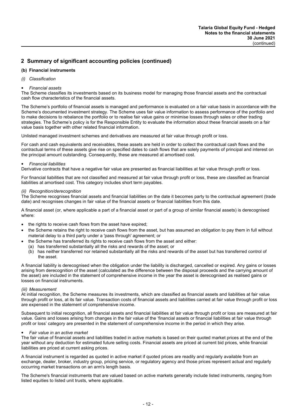## **(b) Financial instruments**

## *(i) Classification*

## *Financial assets*

The Scheme classifies its investments based on its business model for managing those financial assets and the contractual cash flow characteristics of the financial assets.

The Scheme's portfolio of financial assets is managed and performance is evaluated on a fair value basis in accordance with the Scheme's documented investment strategy. The Scheme uses fair value information to assess performance of the portfolio and to make decisions to rebalance the portfolio or to realise fair value gains or minimise losses through sales or other trading strategies. The Scheme's policy is for the Responsible Entity to evaluate the information about these financial assets on a fair value basis together with other related financial information.

Unlisted managed investment schemes and derivatives are measured at fair value through profit or loss.

For cash and cash equivalents and receivables, these assets are held in order to collect the contractual cash flows and the contractual terms of these assets give rise on specified dates to cash flows that are solely payments of principal and interest on the principal amount outstanding. Consequently, these are measured at amortised cost.

## *Financial liabilities*

Derivative contracts that have a negative fair value are presented as financial liabilities at fair value through profit or loss.

For financial liabilities that are not classified and measured at fair value through profit or loss, these are classified as financial liabilities at amortised cost. This category includes short term payables.

#### *(ii) Recognition/derecognition*

The Scheme recognises financial assets and financial liabilities on the date it becomes party to the contractual agreement (trade date) and recognises changes in fair value of the financial assets or financial liabilities from this date.

A financial asset (or, where applicable a part of a financial asset or part of a group of similar financial assets) is derecognised where:

- the rights to receive cash flows from the asset have expired;
- the Scheme retains the right to receive cash flows from the asset, but has assumed an obligation to pay them in full without material delay to a third party under a 'pass through' agreement; or
	- the Scheme has transferred its rights to receive cash flows from the asset and either:
	- (a) has transferred substantially all the risks and rewards of the asset; or
	- (b) has neither transferred nor retained substantially all the risks and rewards of the asset but has transferred control of the asset.

A financial liability is derecognised when the obligation under the liability is discharged, cancelled or expired. Any gains or losses arising from derecognition of the asset (calculated as the difference between the disposal proceeds and the carrying amount of the asset) are included in the statement of comprehensive income in the year the asset is derecognised as realised gains or losses on financial instruments.

#### *(iii) Measurement*

At initial recognition, the Scheme measures its investments, which are classified as financial assets and liabilities at fair value through profit or loss, at its fair value. Transaction costs of financial assets and liabilities carried at fair value through profit or loss are expensed in the statement of comprehensive income.

Subsequent to initial recognition, all financial assets and financial liabilities at fair value through profit or loss are measured at fair value. Gains and losses arising from changes in the fair value of the 'financial assets or financial liabilities at fair value through profit or loss' category are presented in the statement of comprehensive income in the period in which they arise.

#### *Fair value in an active market*

The fair value of financial assets and liabilities traded in active markets is based on their quoted market prices at the end of the year without any deduction for estimated future selling costs. Financial assets are priced at current bid prices, while financial liabilities are priced at current asking prices.

A financial instrument is regarded as quoted in active market if quoted prices are readily and regularly available from an exchange, dealer, broker, industry group, pricing service, or regulatory agency and those prices represent actual and regularly occurring market transactions on an arm's length basis.

The Scheme's financial instruments that are valued based on active markets generally include listed instruments, ranging from listed equities to listed unit trusts, where applicable.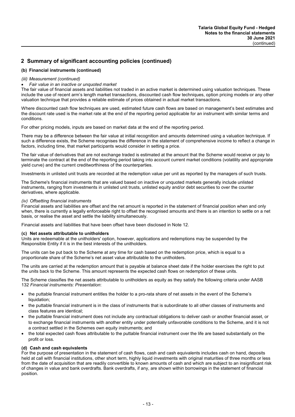## **(b) Financial instruments (continued)**

## *(iii) Measurement (continued)*

#### *Fair value in an inactive or unquoted market*

The fair value of financial assets and liabilities not traded in an active market is determined using valuation techniques. These include the use of recent arm's length market transactions, discounted cash flow techniques, option pricing models or any other valuation technique that provides a reliable estimate of prices obtained in actual market transactions.

Where discounted cash flow techniques are used, estimated future cash flows are based on management's best estimates and the discount rate used is the market rate at the end of the reporting period applicable for an instrument with similar terms and conditions.

For other pricing models, inputs are based on market data at the end of the reporting period.

There may be a difference between the fair value at initial recognition and amounts determined using a valuation technique. If such a difference exists, the Scheme recognises the difference in the statement of comprehensive income to reflect a change in factors, including time, that market participants would consider in setting a price.

The fair value of derivatives that are not exchange traded is estimated at the amount that the Scheme would receive or pay to terminate the contract at the end of the reporting period taking into account current market conditions (volatility and appropriate yield curve) and the current creditworthiness of the counterparties.

Investments in unlisted unit trusts are recorded at the redemption value per unit as reported by the managers of such trusts.

The Scheme's financial instruments that are valued based on inactive or unquoted markets generally include unlisted instruments, ranging from investments in unlisted unit trusts, unlisted equity and/or debt securities to over the counter derivatives, where applicable.

## *(iv) Offsetting financial instruments*

Financial assets and liabilities are offset and the net amount is reported in the statement of financial position when and only when, there is currently a legally enforceable right to offset the recognised amounts and there is an intention to settle on a net basis, or realise the asset and settle the liability simultaneously.

Financial assets and liabilities that have been offset have been disclosed in Note 12.

#### **(c) Net assets attributable to unitholders**

Units are redeemable at the unitholders' option, however, applications and redemptions may be suspended by the Responsible Entity if it is in the best interests of the unitholders.

The units can be put back to the Scheme at any time for cash based on the redemption price, which is equal to a proportionate share of the Scheme's net asset value attributable to the unitholders.

The units are carried at the redemption amount that is payable at balance sheet date if the holder exercises the right to put the units back to the Scheme. This amount represents the expected cash flows on redemption of these units.

The Scheme classifies the net assets attributable to unitholders as equity as they satisfy the following criteria under AASB 132 *Financial instruments: Presentation*:

- the puttable financial instrument entitles the holder to a pro-rata share of net assets in the event of the Scheme's liquidation;
- the puttable financial instrument is in the class of instruments that is subordinate to all other classes of instruments and class features are identical;
- the puttable financial instrument does not include any contractual obligations to deliver cash or another financial asset, or to exchange financial instruments with another entity under potentially unfavorable conditions to the Scheme, and it is not a contract settled in the Schemes own equity instruments; and
- the total expected cash flows attributable to the puttable financial instrument over the life are based substantially on the profit or loss.

## **(d) Cash and cash equivalents**

For the purpose of presentation in the statement of cash flows, cash and cash equivalents includes cash on hand, deposits held at call with financial institutions, other short term, highly liquid investments with original maturities of three months or less from the date of acquisition that are readily convertible to known amounts of cash and which are subject to an insignificant risk of changes in value and bank overdrafts. Bank overdrafts, if any, are shown within borrowings in the statement of financial position.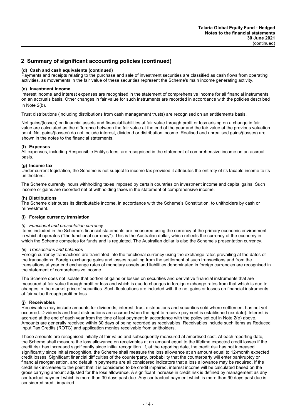## **(d) Cash and cash equivalents (continued)**

Payments and receipts relating to the purchase and sale of investment securities are classified as cash flows from operating activities, as movements in the fair value of these securities represent the Scheme's main income generating activity.

#### **(e) Investment income**

Interest income and interest expenses are recognised in the statement of comprehensive income for all financial instruments on an accruals basis. Other changes in fair value for such instruments are recorded in accordance with the policies described in Note 2(b).

Trust distributions (including distributions from cash management trusts) are recognised on an entitlements basis.

Net gains/(losses) on financial assets and financial liabilities at fair value through profit or loss arising on a change in fair value are calculated as the difference between the fair value at the end of the year and the fair value at the previous valuation point. Net gains/(losses) do not include interest, dividend or distribution income. Realised and unrealised gains/(losses) are shown in the notes to the financial statements.

#### **(f) Expenses**

All expenses, including Responsible Entity's fees, are recognised in the statement of comprehensive income on an accrual basis.

#### **(g) Income tax**

Under current legislation, the Scheme is not subject to income tax provided it attributes the entirety of its taxable income to its unitholders.

The Scheme currently incurs withholding taxes imposed by certain countries on investment income and capital gains. Such income or gains are recorded net of withholding taxes in the statement of comprehensive income.

#### **(h) Distributions**

The Scheme distributes its distributable income, in accordance with the Scheme's Constitution, to unitholders by cash or reinvestment.

#### **(i) Foreign currency translation**

#### *(i) Functional and presentation currency*

Items included in the Scheme's financial statements are measured using the currency of the primary economic environment in which it operates (''the functional currency''). This is the Australian dollar, which reflects the currency of the economy in which the Scheme competes for funds and is regulated. The Australian dollar is also the Scheme's presentation currency.

#### *(ii) Transactions and balances*

Foreign currency transactions are translated into the functional currency using the exchange rates prevailing at the dates of the transactions. Foreign exchange gains and losses resulting from the settlement of such transactions and from the translations at year end exchange rates of monetary assets and liabilities denominated in foreign currencies are recognised in the statement of comprehensive income.

The Scheme does not isolate that portion of gains or losses on securities and derivative financial instruments that are measured at fair value through profit or loss and which is due to changes in foreign exchange rates from that which is due to changes in the market price of securities. Such fluctuations are included with the net gains or losses on financial instruments at fair value through profit or loss.

#### **(j) Receivables**

Receivables may include amounts for dividends, interest, trust distributions and securities sold where settlement has not yet occurred. Dividends and trust distributions are accrued when the right to receive payment is established (ex-date). Interest is accrued at the end of each year from the time of last payment in accordance with the policy set out in Note 2(e) above. Amounts are generally received within 30 days of being recorded as receivables. Receivables include such items as Reduced Input Tax Credits (ROTC) and application monies receivable from unitholders.

These amounts are recognised initially at fair value and subsequently measured at amortised cost. At each reporting date, the Scheme shall measure the loss allowance on receivables at an amount equal to the lifetime expected credit losses if the credit risk has increased significantly since initial recognition. If, at the reporting date, the credit risk has not increased significantly since initial recognition, the Scheme shall measure the loss allowance at an amount equal to 12-month expected credit losses. Significant financial difficulties of the counterparty, probability that the counterparty will enter bankruptcy or financial reorganisation, and default in payments are all considered indicators that a loss allowance may be required. If the credit risk increases to the point that it is considered to be credit impaired, interest income will be calculated based on the gross carrying amount adjusted for the loss allowance. A significant increase in credit risk is defined by management as any contractual payment which is more than 30 days past due. Any contractual payment which is more than 90 days past due is considered credit impaired.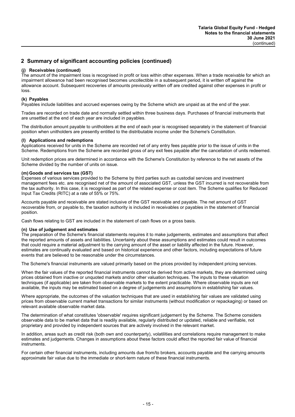## **(j) Receivables (continued)**

The amount of the impairment loss is recognised in profit or loss within other expenses. When a trade receivable for which an impairment allowance had been recognised becomes uncollectible in a subsequent period, it is written off against the allowance account. Subsequent recoveries of amounts previously written off are credited against other expenses in profit or loss.

## **(k) Payables**

Payables include liabilities and accrued expenses owing by the Scheme which are unpaid as at the end of the year.

Trades are recorded on trade date and normally settled within three business days. Purchases of financial instruments that are unsettled at the end of each year are included in payables.

The distribution amount payable to unitholders at the end of each year is recognised separately in the statement of financial position when unitholders are presently entitled to the distributable income under the Scheme's Constitution.

## **(l) Applications and redemptions**

Applications received for units in the Scheme are recorded net of any entry fees payable prior to the issue of units in the Scheme. Redemptions from the Scheme are recorded gross of any exit fees payable after the cancellation of units redeemed.

Unit redemption prices are determined in accordance with the Scheme's Constitution by reference to the net assets of the Scheme divided by the number of units on issue.

## **(m) Goods and services tax (GST)**

Expenses of various services provided to the Scheme by third parties such as custodial services and investment management fees etc. are recognised net of the amount of associated GST, unless the GST incurred is not recoverable from the tax authority. In this case, it is recognised as part of the related expense or cost item. The Scheme qualifies for Reduced Input Tax Credits (RITC) at a rate of 55% or 75%.

Accounts payable and receivable are stated inclusive of the GST receivable and payable. The net amount of GST recoverable from, or payable to, the taxation authority is included in receivables or payables in the statement of financial position.

Cash flows relating to GST are included in the statement of cash flows on a gross basis.

#### **(n) Use of judgement and estimates**

The preparation of the Scheme's financial statements requires it to make judgements, estimates and assumptions that affect the reported amounts of assets and liabilities. Uncertainty about these assumptions and estimates could result in outcomes that could require a material adjustment to the carrying amount of the asset or liability affected in the future. However, estimates are continually evaluated and based on historical experience and other factors, including expectations of future events that are believed to be reasonable under the circumstances.

The Scheme's financial instruments are valued primarily based on the prices provided by independent pricing services.

When the fair values of the reported financial instruments cannot be derived from active markets, they are determined using prices obtained from inactive or unquoted markets and/or other valuation techniques. The inputs to these valuation techniques (if applicable) are taken from observable markets to the extent practicable. Where observable inputs are not available, the inputs may be estimated based on a degree of judgements and assumptions in establishing fair values.

Where appropriate, the outcomes of the valuation techniques that are used in establishing fair values are validated using prices from observable current market transactions for similar instruments (without modification or repackaging) or based on relevant available observable market data.

The determination of what constitutes 'observable' requires significant judgement by the Scheme. The Scheme considers observable data to be market data that is readily available, regularly distributed or updated, reliable and verifiable, not proprietary and provided by independent sources that are actively involved in the relevant market.

In addition, areas such as credit risk (both own and counterparty), volatilities and correlations require management to make estimates and judgements. Changes in assumptions about these factors could affect the reported fair value of financial instruments.

For certain other financial instruments, including amounts due from/to brokers, accounts payable and the carrying amounts approximate fair value due to the immediate or short-term nature of these financial instruments.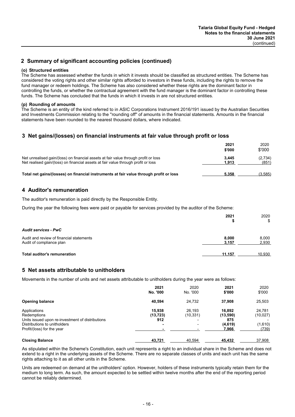## **(o) Structured entities**

The Scheme has assessed whether the funds in which it invests should be classified as structured entities. The Scheme has considered the voting rights and other similar rights afforded to investors in these funds, including the rights to remove the fund manager or redeem holdings. The Scheme has also considered whether these rights are the dominant factor in controlling the funds, or whether the contractual agreement with the fund manager is the dominant factor in controlling these funds. The Scheme has concluded that the funds in which it invests in are not structured entities.

#### **(p) Rounding of amounts**

The Scheme is an entity of the kind referred to in ASIC Corporations Instrument 2016/191 issued by the Australian Securities and Investments Commission relating to the ''rounding off'' of amounts in the financial statements. Amounts in the financial statements have been rounded to the nearest thousand dollars, where indicated.

## **3 Net gains/(losses) on financial instruments at fair value through profit or loss**

|                                                                                                                                                                          | 2021<br>\$'000 | 2020<br>\$'000   |
|--------------------------------------------------------------------------------------------------------------------------------------------------------------------------|----------------|------------------|
| Net unrealised gain/(loss) on financial assets at fair value through profit or loss<br>Net realised gain/(loss) on financial assets at fair value through profit or loss | 3.445<br>1.913 | (2,734)<br>(851) |
| Total net gains/(losses) on financial instruments at fair value through profit or loss                                                                                   | 5.358          | (3,585)          |

## **4 Auditor's remuneration**

The auditor's remuneration is paid directly by the Responsible Entity.

During the year the following fees were paid or payable for services provided by the auditor of the Scheme:

|                                                                      | 2021           | 2020<br>\$     |
|----------------------------------------------------------------------|----------------|----------------|
| <b>Audit services - PwC</b>                                          |                |                |
| Audit and review of financial statements<br>Audit of compliance plan | 8.000<br>3,157 | 8,000<br>2,930 |
| Total auditor's remuneration                                         | 11.157         | 10,930         |

## **5 Net assets attributable to unitholders**

Movements in the number of units and net assets attributable to unitholders during the year were as follows:

|                                                  | 2021<br>No. '000 | 2020<br>No. '000         | 2021<br>\$'000 | 2020<br>\$'000 |
|--------------------------------------------------|------------------|--------------------------|----------------|----------------|
| <b>Opening balance</b>                           | 40.594           | 24.732                   | 37.908         | 25,503         |
| Applications                                     | 15.938           | 26.193                   | 16.892         | 24,781         |
| Redemptions                                      | (13, 723)        | (10, 331)                | (13,590)       | (10, 027)      |
| Units issued upon re-investment of distributions | 912              | -                        | 875            |                |
| Distributions to unitholders                     | ٠                | $\overline{\phantom{a}}$ | (4,619)        | (1,610)        |
| Profit/(loss) for the year                       |                  |                          | 7,966          | (739)          |
| <b>Closing Balance</b>                           | 43.721           | 40.594                   | 45.432         | 37,908         |

As stipulated within the Scheme's Constitution, each unit represents a right to an individual share in the Scheme and does not extend to a right in the underlying assets of the Scheme. There are no separate classes of units and each unit has the same rights attaching to it as all other units in the Scheme.

Units are redeemed on demand at the unitholders' option. However, holders of these instruments typically retain them for the medium to long term. As such, the amount expected to be settled within twelve months after the end of the reporting period cannot be reliably determined.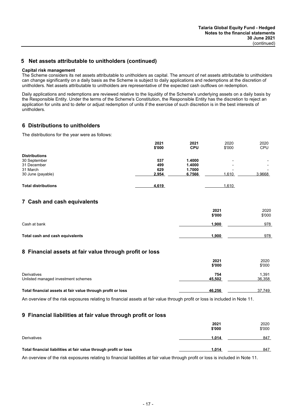## **5 Net assets attributable to unitholders (continued)**

#### **Capital risk management**

The Scheme considers its net assets attributable to unitholders as capital. The amount of net assets attributable to unitholders can change significantly on a daily basis as the Scheme is subject to daily applications and redemptions at the discretion of unitholders. Net assets attributable to unitholders are representative of the expected cash outflows on redemption.

Daily applications and redemptions are reviewed relative to the liquidity of the Scheme's underlying assets on a daily basis by the Responsible Entity. Under the terms of the Scheme's Constitution, the Responsible Entity has the discretion to reject an application for units and to defer or adjust redemption of units if the exercise of such discretion is in the best interests of unitholders.

## **6 Distributions to unitholders**

The distributions for the year were as follows:

|                            | 2021<br>\$'000 | 2021<br><b>CPU</b> | 2020<br>\$'000           | 2020<br><b>CPU</b>       |
|----------------------------|----------------|--------------------|--------------------------|--------------------------|
| <b>Distributions</b>       |                |                    |                          |                          |
| 30 September               | 537            | 1.4000             | $\overline{\phantom{0}}$ | ۰.                       |
| 31 December                | 499            | 1.4000             | $\overline{\phantom{0}}$ |                          |
| 31 March                   | 629            | 1.7000             | $\overline{\phantom{0}}$ | $\overline{\phantom{a}}$ |
| 30 June (payable)          | 2,954          | 6.7566             | 1,610                    | 3.9668                   |
| <b>Total distributions</b> | 4,619          |                    | 1,610                    |                          |

## **7 Cash and cash equivalents**

|                                 | 2021<br>\$'000 | 2020<br>\$'000 |
|---------------------------------|----------------|----------------|
| Cash at bank                    | 1,900          | 978            |
| Total cash and cash equivalents | 1,900          | 978            |

## **8 Financial assets at fair value through profit or loss**

|                                                             | 2021<br>\$'000 | 2020<br>\$'000  |
|-------------------------------------------------------------|----------------|-----------------|
| Derivatives<br>Unlisted managed investment schemes          | 754<br>45,502  | 1,391<br>36,358 |
| Total financial assets at fair value through profit or loss | 46,256         | 37.749          |

An overview of the risk exposures relating to financial assets at fair value through profit or loss is included in Note 11.

## **9 Financial liabilities at fair value through profit or loss**

|                                                                  | 2021<br>\$'000 | 2020<br>\$'000 |
|------------------------------------------------------------------|----------------|----------------|
| Derivatives                                                      | 1,014          | 847            |
| Total financial liabilities at fair value through profit or loss | 1,014          | 847            |

An overview of the risk exposures relating to financial liabilities at fair value through profit or loss is included in Note 11.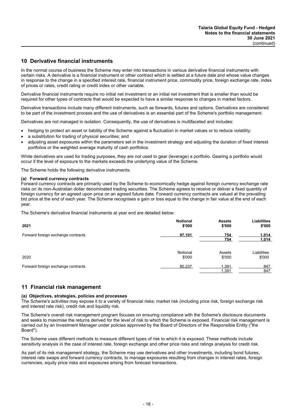## **10 Derivative financial instruments**

In the normal course of business the Scheme may enter into transactions in various derivative financial instruments with certain risks. A derivative is a financial instrument or other contract which is settled at a future date and whose value changes in response to the change in a specified interest rate, financial instrument price, commodity price, foreign exchange rate, index of prices or rates, credit rating or credit index or other variable.

Derivative financial instruments require no initial net investment or an initial net investment that is smaller than would be required for other types of contracts that would be expected to have a similar response to changes in market factors.

Derivative transactions include many different instruments, such as forwards, futures and options. Derivatives are considered to be part of the investment process and the use of derivatives is an essential part of the Scheme's portfolio management.

Derivatives are not managed in isolation. Consequently, the use of derivatives is multifaceted and includes:

- hedging to protect an asset or liability of the Scheme against a fluctuation in market values or to reduce volatility;
- a substitution for trading of physical securities; and
- adjusting asset exposures within the parameters set in the investment strategy and adjusting the duration of fixed interest portfolios or the weighted average maturity of cash portfolios.

While derivatives are used for trading purposes, they are not used to gear (leverage) a portfolio. Gearing a portfolio would occur if the level of exposure to the markets exceeds the underlying value of the Scheme.

The Scheme holds the following derivative instruments:

#### **(a) Forward currency contracts**

Forward currency contracts are primarily used by the Scheme to economically hedge against foreign currency exchange rate risks on its non-Australian dollar denominated trading securities. The Scheme agrees to receive or deliver a fixed quantity of foreign currency for an agreed upon price on an agreed future date. Forward currency contracts are valued at the prevailing bid price at the end of each year. The Scheme recognises a gain or loss equal to the change in fair value at the end of each year.

The Scheme's derivative financial instruments at year end are detailed below:

| 2021                               | <b>Notional</b> | <b>Assets</b>  | <b>Liabilities</b> |
|------------------------------------|-----------------|----------------|--------------------|
|                                    | \$'000          | \$'000         | \$'000             |
| Forward foreign exchange contracts | 97,101          | 754<br>754     | 1,014<br>1,014     |
| 2020                               | Notional        | Assets         | Liabilities        |
|                                    | \$'000          | \$'000         | \$'000             |
| Forward foreign exchange contracts | 85,237          | 1,391<br>1,391 | 847<br>847         |

## **11 Financial risk management**

#### **(a) Objectives, strategies, policies and processes**

The Scheme's activities may expose it to a variety of financial risks: market risk (including price risk, foreign exchange risk and interest rate risk), credit risk and liquidity risk.

The Scheme's overall risk management program focuses on ensuring compliance with the Scheme's disclosure documents and seeks to maximise the returns derived for the level of risk to which the Scheme is exposed. Financial risk management is carried out by an Investment Manager under policies approved by the Board of Directors of the Responsible Entity (''the Board'').

The Scheme uses different methods to measure different types of risk to which it is exposed. These methods include sensitivity analysis in the case of interest rate, foreign exchange and other price risks and ratings analysis for credit risk.

As part of its risk management strategy, the Scheme may use derivatives and other investments, including bond futures, interest rate swaps and forward currency contracts, to manage exposures resulting from changes in interest rates, foreign currencies, equity price risks and exposures arising from forecast transactions.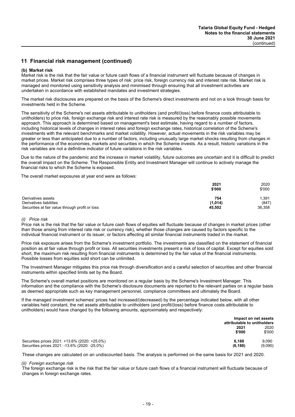## **(b) Market risk**

Market risk is the risk that the fair value or future cash flows of a financial instrument will fluctuate because of changes in market prices. Market risk comprises three types of risk: price risk, foreign currency risk and interest rate risk. Market risk is managed and monitored using sensitivity analysis and minimised through ensuring that all investment activities are undertaken in accordance with established mandates and investment strategies.

The market risk disclosures are prepared on the basis of the Scheme's direct investments and not on a look through basis for investments held in the Scheme.

The sensitivity of the Scheme's net assets attributable to unitholders (and profit/(loss) before finance costs attributable to unitholders) to price risk, foreign exchange risk and interest rate risk is measured by the reasonably possible movements approach. This approach is determined based on management's best estimate, having regard to a number of factors, including historical levels of changes in interest rates and foreign exchange rates, historical correlation of the Scheme's investments with the relevant benchmarks and market volatility. However, actual movements in the risk variables may be greater or less than anticipated due to a number of factors, including unusually large market shocks resulting from changes in the performance of the economies, markets and securities in which the Scheme invests. As a result, historic variations in the risk variables are not a definitive indicator of future variations in the risk variables.

Due to the nature of the pandemic and the increase in market volatility, future outcomes are uncertain and it is difficult to predict the overall impact on the Scheme. The Responsible Entity and Investment Manager will continue to actively manage the financial risks to which the Scheme is exposed.

The overall market exposures at year end were as follows:

|                                                 | 2021<br>\$'000 | 2020<br>\$'000 |
|-------------------------------------------------|----------------|----------------|
| Derivatives assets                              | 754            | 1,391          |
| Derivatives liabilities                         | (1,014)        | (847)          |
| Securities at fair value through profit or loss | 45,502         | 36,358         |

#### *(i) Price risk*

Price risk is the risk that the fair value or future cash flows of equities will fluctuate because of changes in market prices (other than those arising from interest rate risk or currency risk), whether those changes are caused by factors specific to the individual financial instrument or its issuer, or factors affecting all similar financial instruments traded in the market.

Price risk exposure arises from the Scheme's investment portfolio. The investments are classified on the statement of financial position as at fair value through profit or loss. All securities investments present a risk of loss of capital. Except for equities sold short, the maximum risk resulting from financial instruments is determined by the fair value of the financial instruments. Possible losses from equities sold short can be unlimited.

The Investment Manager mitigates this price risk through diversification and a careful selection of securities and other financial instruments within specified limits set by the Board.

The Scheme's overall market positions are monitored on a regular basis by the Scheme's Investment Manager. This information and the compliance with the Scheme's disclosure documents are reported to the relevant parties on a regular basis as deemed appropriate such as key management personnel, compliance committees and ultimately the Board.

If the managed investment schemes' prices had increased/(decreased) by the percentage indicated below, with all other variables held constant, the net assets attributable to unitholders (and profit/(loss) before finance costs attributable to unitholders) would have changed by the following amounts, approximately and respectively:

|                                                                                                | Impact on net assets<br>attributable to unitholders |                  |  |
|------------------------------------------------------------------------------------------------|-----------------------------------------------------|------------------|--|
|                                                                                                | 2021<br>\$'000                                      | 2020<br>\$'000   |  |
| Securities prices 2021: +13.6% (2020: +25.0%)<br>Securities prices 2021: -13.6% (2020: -25.0%) | 6.188<br>(6, 188)                                   | 9.090<br>(9.090) |  |

These changes are calculated on an undiscounted basis. The analysis is performed on the same basis for 2021 and 2020.

#### *(ii) Foreign exchange risk*

The foreign exchange risk is the risk that the fair value or future cash flows of a financial instrument will fluctuate because of changes in foreign exchange rates.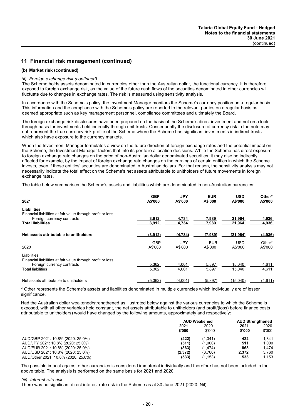## **(b) Market risk (continued)**

#### *(ii) Foreign exchange risk (continued)*

The Scheme holds assets denominated in currencies other than the Australian dollar, the functional currency. It is therefore exposed to foreign exchange risk, as the value of the future cash flows of the securities denominated in other currencies will fluctuate due to changes in exchange rates. The risk is measured using sensitivity analysis.

In accordance with the Scheme's policy, the Investment Manager monitors the Scheme's currency position on a regular basis. This information and the compliance with the Scheme's policy are reported to the relevant parties on a regular basis as deemed appropriate such as key management personnel, compliance committees and ultimately the Board.

The foreign exchange risk disclosures have been prepared on the basis of the Scheme's direct investment and not on a look through basis for investments held indirectly through unit trusts. Consequently the disclosure of currency risk in the note may not represent the true currency risk profile of the Scheme where the Scheme has significant investments in indirect trusts which also have exposure to the currency markets.

When the Investment Manager formulates a view on the future direction of foreign exchange rates and the potential impact on the Scheme, the Investment Manager factors that into its portfolio allocation decisions. While the Scheme has direct exposure to foreign exchange rate changes on the price of non-Australian dollar denominated securities, it may also be indirectly affected for example, by the impact of foreign exchange rate changes on the earnings of certain entities in which the Scheme invests, even if those entities' securities are denominated in Australian dollars. For that reason, the sensitivity analysis may not necessarily indicate the total effect on the Scheme's net assets attributable to unitholders of future movements in foreign exchange rates.

The table below summarises the Scheme's assets and liabilities which are denominated in non-Australian currencies:

| 2021                                                                                                                                | <b>GBP</b><br>A\$'000 | JPY<br>A\$'000 | <b>EUR</b><br>A\$'000 | <b>USD</b><br>A\$'000 | Other*<br>A\$'000 |
|-------------------------------------------------------------------------------------------------------------------------------------|-----------------------|----------------|-----------------------|-----------------------|-------------------|
| Liabilities<br>Financial liabilities at fair value through profit or loss<br>Foreign currency contracts<br><b>Total liabilities</b> | 3,912<br>3,912        | 4,734<br>4,734 | 7,989<br>7,989        | 21,964<br>21,964      | 4,936<br>4,936    |
| Net assets attributable to unitholders                                                                                              | (3,912)               | (4,734)        | (7,989)               | (21, 964)             | (4,936)           |
| 2020                                                                                                                                | <b>GBP</b><br>A\$'000 | JPY<br>A\$'000 | <b>EUR</b><br>A\$'000 | <b>USD</b><br>A\$'000 | Other*<br>A\$'000 |
| Liabilities<br>Financial liabilities at fair value through profit or loss<br>Foreign currency contracts<br><b>Total liabilities</b> | 5.362<br>5,362        | 4.001<br>4,001 | 5.897<br>5,897        | 15.040<br>15,040      | 4.611<br>4,611    |
| Net assets attributable to unitholders                                                                                              | (5, 362)              | (4,001)        | (5.897)               | (15,040)              | (4,611)           |

\* Other represents the Scheme's assets and liabilities denominated in multiple currencies which individually are of lesser significance.

Had the Australian dollar weakened/strengthened as illustrated below against the various currencies to which the Scheme is exposed, with all other variables held constant, the net assets attributable to unitholders (and profit/(loss) before finance costs attributable to unitholders) would have changed by the following amounts, approximately and respectively:

|                                     | <b>AUD Weakened</b> |          | <b>AUD Strengthened</b> |        |
|-------------------------------------|---------------------|----------|-------------------------|--------|
|                                     | 2021                | 2020     | 2021                    | 2020   |
|                                     | \$'000              | \$'000   | \$'000                  | \$'000 |
| AUD/GBP 2021: 10.8% (2020: 25.0%)   | (422)               | (1.341)  | 422                     | 1.341  |
| AUD/JPY 2021: 10.8% (2020: 25.0%)   | (511)               | (1,000)  | 511                     | 1.000  |
| AUD/EUR 2021: 10.8% (2020: 25.0%)   | (863)               | (1.474)  | 863                     | 1.474  |
| AUD/USD 2021: 10.8% (2020: 25.0%)   | (2,372)             | (3,760)  | 2.372                   | 3.760  |
| AUD/Other 2021: 10.8% (2020: 25.0%) | (533)               | (1, 153) | 533                     | 1.153  |

The possible impact against other currencies is considered immaterial individually and therefore has not been included in the above table. The analysis is performed on the same basis for 2021 and 2020.

#### *(iii) Interest rate risk*

There was no significant direct interest rate risk in the Scheme as at 30 June 2021 (2020: Nil).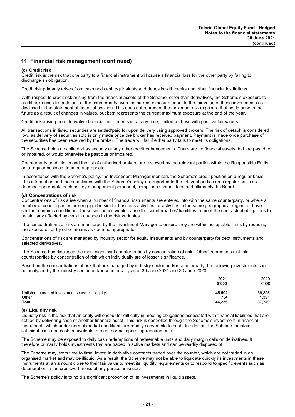#### **(c) Credit risk**

Credit risk is the risk that one party to a financial instrument will cause a financial loss for the other party by failing to discharge an obligation.

Credit risk primarily arises from cash and cash equivalents and deposits with banks and other financial institutions.

With respect to credit risk arising from the financial assets of the Scheme, other than derivatives, the Scheme's exposure to credit risk arises from default of the counterparty, with the current exposure equal to the fair value of these investments as disclosed in the statement of financial position. This does not represent the maximum risk exposure that could arise in the future as a result of changes in values, but best represents the current maximum exposure at the end of the year.

Credit risk arising from derivative financial instruments is, at any time, limited to those with positive fair values.

All transactions in listed securities are settled/paid for upon delivery using approved brokers. The risk of default is considered low, as delivery of securities sold is only made once the broker has received payment. Payment is made once purchase of the securities has been received by the broker. The trade will fail if either party fails to meet its obligations.

The Scheme holds no collateral as security or any other credit enhancements. There are no financial assets that are past due or impaired, or would otherwise be past due or impaired.

Counterparty credit limits and the list of authorised brokers are reviewed by the relevant parties within the Responsible Entity on a regular basis as deemed appropriate.

In accordance with the Scheme's policy, the Investment Manager monitors the Scheme's credit position on a regular basis. This information and the compliance with the Scheme's policy are reported to the relevant parties on a regular basis as deemed appropriate such as key management personnel, compliance committees and ultimately the Board.

#### **(d) Concentrations of risk**

Concentrations of risk arise when a number of financial instruments are entered into with the same counterparty, or where a number of counterparties are engaged in similar business activities, or activities in the same geographical region, or have similar economic conditions. These similarities would cause the counterparties' liabilities to meet the contractual obligations to be similarly affected by certain changes in the risk variables.

The concentrations of risk are monitored by the Investment Manager to ensure they are within acceptable limits by reducing the exposures or by other means as deemed appropriate.

Concentrations of risk are managed by industry sector for equity instruments and by counterparty for debt instruments and selected derivatives.

The Scheme has disclosed the most significant counterparties by concentration of risk. ''Other'' represents multiple counterparties by concentration of risk which individually are of lesser significance.

Based on the concentrations of risk that are managed by industry sector and/or counterparty, the following investments can be analysed by the industry sector and/or counterparty as at 30 June 2021 and 30 June 2020:

|                                              | 2021<br>\$'000 | 2020<br>\$'000 |
|----------------------------------------------|----------------|----------------|
| Unlisted managed investment schemes - equity | 45.502         | 36,358         |
| Other                                        | 754            | 391.،          |
| <b>Total</b>                                 | 46,256         | 37.749         |

#### **(e) Liquidity risk**

Liquidity risk is the risk that an entity will encounter difficulty in meeting obligations associated with financial liabilities that are settled by delivering cash or another financial asset. This risk is controlled through the Scheme's investment in financial instruments which under normal market conditions are readily convertible to cash. In addition, the Scheme maintains sufficient cash and cash equivalents to meet normal operating requirements.

The Scheme may be exposed to daily cash redemptions of redeemable units and daily margin calls on derivatives. It therefore primarily holds investments that are traded in active markets and can be readily disposed of.

The Scheme may, from time to time, invest in derivative contracts traded over the counter, which are not traded in an organised market and may be illiquid. As a result, the Scheme may not be able to liquidate quickly its investments in these instruments at an amount close to their fair value to meet its liquidity requirements or to respond to specific events such as deterioration in the creditworthiness of any particular issuer.

The Scheme's policy is to hold a significant proportion of its investments in liquid assets.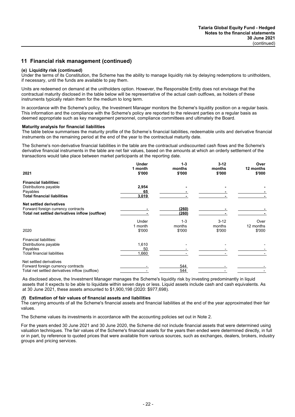## **(e) Liquidity risk (continued)**

Under the terms of its Constitution, the Scheme has the ability to manage liquidity risk by delaying redemptions to unitholders, if necessary, until the funds are available to pay them.

Units are redeemed on demand at the unitholders option. However, the Responsible Entity does not envisage that the contractual maturity disclosed in the table below will be representative of the actual cash outflows, as holders of these instruments typically retain them for the medium to long term.

In accordance with the Scheme's policy, the Investment Manager monitors the Scheme's liquidity position on a regular basis. This information and the compliance with the Scheme's policy are reported to the relevant parties on a regular basis as deemed appropriate such as key management personnel, compliance committees and ultimately the Board.

#### **Maturity analysis for financial liabilities**

The table below summarises the maturity profile of the Scheme's financial liabilities, redeemable units and derivative financial instruments on the remaining period at the end of the year to the contractual maturity date.

The Scheme's non-derivative financial liabilities in the table are the contractual undiscounted cash flows and the Scheme's derivative financial instruments in the table are net fair values, based on the amounts at which an orderly settlement of the transactions would take place between market participants at the reporting date.

|                                                | <b>Under</b> | $1 - 3$ | $3 - 12$ | Over      |
|------------------------------------------------|--------------|---------|----------|-----------|
|                                                | 1 month      | months  | months   | 12 months |
| 2021                                           | \$'000       | \$'000  | \$'000   | \$'000    |
| <b>Financial liabilities:</b>                  |              |         |          |           |
| Distributions payable                          | 2,954        |         |          |           |
| Payables                                       | 65           |         |          |           |
| <b>Total financial liabilities</b>             | 3,019        |         |          |           |
| <b>Net settled derivatives</b>                 |              |         |          |           |
| Forward foreign currency contracts             |              | (260)   |          |           |
| Total net settled derivatives inflow (outflow) |              | (260)   |          |           |
|                                                | Under        | $1 - 3$ | $3 - 12$ | Over      |
|                                                | 1 month      | months  | months   | 12 months |
| 2020                                           | \$'000       | \$'000  | \$'000   | \$'000    |
| Financial liabilities:                         |              |         |          |           |
| Distributions payable                          | 1,610        |         |          |           |
| Payables                                       | 50           |         |          |           |
| Total financial liabilities                    | 1,660        |         |          |           |
| Net settled derivatives                        |              |         |          |           |
| Forward foreign currency contracts             |              | 544     |          |           |
| Total net settled derivatives inflow (outflow) |              | 544     |          |           |

As disclosed above, the Investment Manager manages the Scheme's liquidity risk by investing predominantly in liquid assets that it expects to be able to liquidate within seven days or less. Liquid assets include cash and cash equivalents. As at 30 June 2021, these assets amounted to \$1,900,198 (2020: \$977,698).

## **(f) Estimation of fair values of financial assets and liabilities**

The carrying amounts of all the Scheme's financial assets and financial liabilities at the end of the year approximated their fair values.

The Scheme values its investments in accordance with the accounting policies set out in Note 2.

For the years ended 30 June 2021 and 30 June 2020, the Scheme did not include financial assets that were determined using valuation techniques. The fair values of the Scheme's financial assets for the years then ended were determined directly, in full or in part, by reference to quoted prices that were available from various sources, such as exchanges, dealers, brokers, industry groups and pricing services.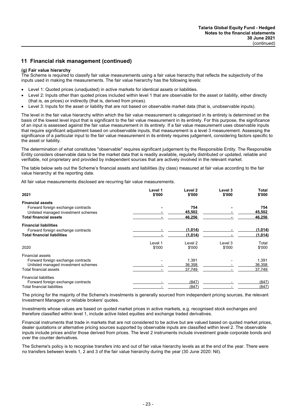## **(g) Fair value hierarchy**

The Scheme is required to classify fair value measurements using a fair value hierarchy that reflects the subjectivity of the inputs used in making the measurements. The fair value hierarchy has the following levels:

- Level 1: Quoted prices (unadjusted) in active markets for identical assets or liabilities.
- Level 2: Inputs other than quoted prices included within level 1 that are observable for the asset or liability, either directly (that is, as prices) or indirectly (that is, derived from prices).
- Level 3: Inputs for the asset or liability that are not based on observable market data (that is, unobservable inputs).

The level in the fair value hierarchy within which the fair value measurement is categorised in its entirety is determined on the basis of the lowest level input that is significant to the fair value measurement in its entirety. For this purpose, the significance of an input is assessed against the fair value measurement in its entirety. If a fair value measurement uses observable inputs that require significant adjustment based on unobservable inputs, that measurement is a level 3 measurement. Assessing the significance of a particular input to the fair value measurement in its entirety requires judgement, considering factors specific to the asset or liability.

The determination of what constitutes ''observable'' requires significant judgement by the Responsible Entity. The Responsible Entity considers observable data to be the market data that is readily available, regularly distributed or updated, reliable and verifiable, not proprietary and provided by independent sources that are actively involved in the relevant market.

The table below sets out the Scheme's financial assets and liabilities (by class) measured at fair value according to the fair value hierarchy at the reporting date.

All fair value measurements disclosed are recurring fair value measurements.

| 2021                                                                                                                           | Level 1<br>\$'000 | Level 2<br>\$'000         | Level 3<br>\$'000 | Total<br>\$'000           |
|--------------------------------------------------------------------------------------------------------------------------------|-------------------|---------------------------|-------------------|---------------------------|
| <b>Financial assets</b><br>Forward foreign exchange contracts<br>Unlisted managed investment schemes                           |                   | 754<br>45.502             |                   | 754<br>45.502             |
| <b>Total financial assets</b>                                                                                                  |                   | 46,256                    |                   | 46,256                    |
| <b>Financial liabilities</b><br>Forward foreign exchange contracts<br><b>Total financial liabilities</b>                       |                   | (1,014)<br>(1,014)        |                   | (1,014)<br>(1, 014)       |
| 2020                                                                                                                           | Level 1<br>\$'000 | Level 2<br>\$'000         | Level 3<br>\$'000 | Total<br>\$'000           |
| <b>Financial assets</b><br>Forward foreign exchange contracts<br>Unlisted managed investment schemes<br>Total financial assets |                   | 1,391<br>36,358<br>37,749 |                   | 1,391<br>36,358<br>37.749 |
| <b>Financial liabilities</b><br>Forward foreign exchange contracts<br><b>Total financial liabilities</b>                       |                   | (847)<br>(847)            |                   | (847)<br>(847)            |

The pricing for the majority of the Scheme's investments is generally sourced from independent pricing sources, the relevant Investment Managers or reliable brokers' quotes.

Investments whose values are based on quoted market prices in active markets, e.g. recognised stock exchanges and therefore classified within level 1, include active listed equities and exchange traded derivatives.

Financial instruments that trade in markets that are not considered to be active but are valued based on quoted market prices, dealer quotations or alternative pricing sources supported by observable inputs are classified within level 2. The observable inputs include prices and/or those derived from prices. The level 2 instruments include investment grade corporate bonds and over the counter derivatives.

The Scheme's policy is to recognise transfers into and out of fair value hierarchy levels as at the end of the year. There were no transfers between levels 1, 2 and 3 of the fair value hierarchy during the year (30 June 2020: Nil).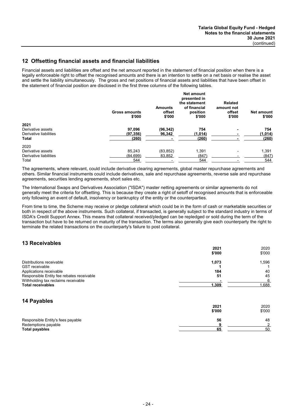## **12 Offsetting financial assets and financial liabilities**

Financial assets and liabilities are offset and the net amount reported in the statement of financial position when there is a legally enforceable right to offset the recognised amounts and there is an intention to settle on a net basis or realise the asset and settle the liability simultaneously. The gross and net positions of financial assets and liabilities that have been offset in the statement of financial position are disclosed in the first three columns of the following tables.

|                        | <b>Gross amounts</b><br>\$'000 | <b>Amounts</b><br>offset<br>\$'000 | Net amount<br>presented in<br>the statement<br>of financial<br>position<br>\$'000 | <b>Related</b><br>amount not<br>offset<br>\$'000 | <b>Net amount</b><br>\$'000 |
|------------------------|--------------------------------|------------------------------------|-----------------------------------------------------------------------------------|--------------------------------------------------|-----------------------------|
| 2021                   |                                |                                    |                                                                                   |                                                  |                             |
| Derivative assets      | 97,096                         | (96, 342)                          | 754                                                                               |                                                  | 754                         |
| Derivative liabilities | (97, 356)                      | 96,342                             | (1,014)                                                                           |                                                  | (1,014)                     |
| <b>Total</b>           | (260)                          |                                    | (260)                                                                             |                                                  | (260)                       |
| 2020                   |                                |                                    |                                                                                   |                                                  |                             |
| Derivative assets      | 85.243                         | (83, 852)                          | 1,391                                                                             |                                                  | 1,391                       |
| Derivative liabilities | (84, 699)                      | 83,852                             | (847)                                                                             |                                                  | (847)                       |
| Total                  | 544                            |                                    | 544                                                                               |                                                  | 544                         |

The agreements, where relevant, could include derivative clearing agreements, global master repurchase agreements and others. Similar financial instruments could include derivatives, sale and repurchase agreements, reverse sale and repurchase agreements, securities lending agreements, short sales etc.

The International Swaps and Derivatives Association ("ISDA") master netting agreements or similar agreements do not generally meet the criteria for offsetting. This is because they create a right of setoff of recognised amounts that is enforceable only following an event of default, insolvency or bankruptcy of the entity or the counterparties.

From time to time, the Scheme may receive or pledge collateral which could be in the form of cash or marketable securities or both in respect of the above instruments. Such collateral, if transacted, is generally subject to the standard industry in terms of ISDA's Credit Support Annex. This means that collateral received/pledged can be repledged or sold during the term of the transaction but have to be returned on maturity of the transaction. The terms also generally give each counterparty the right to terminate the related transactions on the counterparty's failure to post collateral.

## **13 Receivables**

|                                           | 2021   | 2020   |
|-------------------------------------------|--------|--------|
|                                           | \$'000 | \$'000 |
| Distributions receivable                  | 1,073  | 1,596  |
| <b>GST</b> receivable                     |        |        |
| Applications receivable                   | 184    | 40     |
| Responsible Entity fee rebates receivable | 51     | 45     |
| Withholding tax reclaims receivable       |        | 6      |
| <b>Total receivables</b>                  | 1,309  | 1,688  |
| 14 Payables                               |        |        |
|                                           | 2021   | 2020   |
|                                           | \$'000 | \$'000 |
| Responsible Entity's fees payable         | 56     | 48     |
| Redemptions payable                       |        |        |
| <b>Total payables</b>                     | 65     | 50     |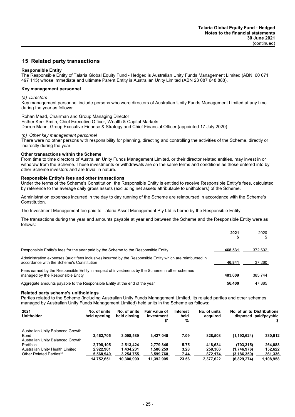## **15 Related party transactions**

## **Responsible Entity**

The Responsible Entity of Talaria Global Equity Fund - Hedged is Australian Unity Funds Management Limited (ABN 60 071 497 115) whose immediate and ultimate Parent Entity is Australian Unity Limited (ABN 23 087 648 888).

## **Key management personnel**

#### *(a) Directors*

Key management personnel include persons who were directors of Australian Unity Funds Management Limited at any time during the year as follows:

## Rohan Mead, Chairman and Group Managing Director

Esther Kerr-Smith, Chief Executive Officer, Wealth & Capital Markets

Darren Mann, Group Executive Finance & Strategy and Chief Financial Officer (appointed 17 July 2020)

## *(b) Other key management personnel*

There were no other persons with responsibility for planning, directing and controlling the activities of the Scheme, directly or indirectly during the year.

## **Other transactions within the Scheme**

From time to time directors of Australian Unity Funds Management Limited, or their director related entities, may invest in or withdraw from the Scheme. These investments or withdrawals are on the same terms and conditions as those entered into by other Scheme investors and are trivial in nature.

## **Responsible Entity's fees and other transactions**

Under the terms of the Scheme's Constitution, the Responsible Entity is entitled to receive Responsible Entity's fees, calculated by reference to the average daily gross assets (excluding net assets attributable to unitholders) of the Scheme.

Administration expenses incurred in the day to day running of the Scheme are reimbursed in accordance with the Scheme's Constitution.

The Investment Management fee paid to Talaria Asset Management Pty Ltd is borne by the Responsible Entity.

The transactions during the year and amounts payable at year end between the Scheme and the Responsible Entity were as follows:

|                                                                                                                                                        | 2021    | 2020    |
|--------------------------------------------------------------------------------------------------------------------------------------------------------|---------|---------|
| Responsible Entity's fees for the year paid by the Scheme to the Responsible Entity                                                                    | 468.531 | 372,692 |
| Administration expenses (audit fees inclusive) incurred by the Responsible Entity which are reimbursed in<br>accordance with the Scheme's Constitution | 46.841  | 37,260  |
| Fees earned by the Responsible Entity in respect of investments by the Scheme in other schemes<br>managed by the Responsible Entity                    | 483.609 | 385.744 |
| Aggregate amounts payable to the Responsible Entity at the end of the year                                                                             | 56.400  | 47,885  |

#### **Related party scheme's unitholdings**

Parties related to the Scheme (including Australian Unity Funds Management Limited, its related parties and other schemes managed by Australian Unity Funds Management Limited) held units in the Scheme as follows:

| 2021<br><b>Unitholder</b>                                                    | No. of units<br>held opening | No. of units<br>held closing | Fair value of<br>investment<br>\$* | Interest<br>held<br>% | No. of units<br>acquired |               | No. of units Distributions<br>disposed paid/payable |
|------------------------------------------------------------------------------|------------------------------|------------------------------|------------------------------------|-----------------------|--------------------------|---------------|-----------------------------------------------------|
| Australian Unity Balanced Growth<br>Bond<br>Australian Unity Balanced Growth | 3.462.705                    | 3.098.589                    | 3.427.040                          | 7.09                  | 828,508                  | (1, 192, 624) | 330,912                                             |
| Portfolio                                                                    | 2.798.105                    | 2.513.424                    | 2.779.846                          | 5.75                  | 418.634                  | (703.315)     | 264.088                                             |
| Australian Unity Health Limited                                              | 2.922.901                    | 1.434.231                    | 1.586.259                          | 3.28                  | 258,306                  | (1,746,976)   | 152.622                                             |
| <b>Other Related Parties**</b>                                               | 5.568.940                    | 3.254.755                    | 3,599,760                          | 7.44                  | 872,174                  | (3.186.359)   | 361,336                                             |
|                                                                              | 14.752.651                   | 10.300.999                   | 11.392.905                         | 23.56                 | 2.377.622                | (6.829.274)   | 1.108.958                                           |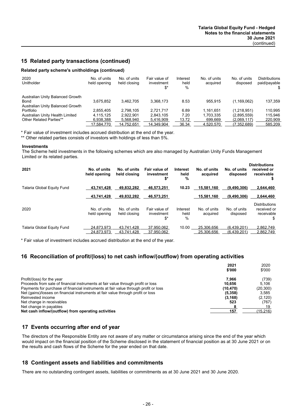## **15 Related party transactions (continued)**

## **Related party scheme's unitholdings (continued)**

| 2020<br>Unitholder                                                           | No. of units<br>held opening | No. of units<br>held closing | Fair value of<br>investment<br>\$* | Interest<br>held<br>% | No. of units<br>acquired | No. of units<br>disposed | <b>Distributions</b><br>paid/payable<br>\$. |
|------------------------------------------------------------------------------|------------------------------|------------------------------|------------------------------------|-----------------------|--------------------------|--------------------------|---------------------------------------------|
| Australian Unity Balanced Growth<br>Bond<br>Australian Unity Balanced Growth | 3.675.852                    | 3.462.705                    | 3.368.173                          | 8.53                  | 955.915                  | (1, 169, 062)            | 137,359                                     |
| Portfolio                                                                    | 2.855.405                    | 2.798.105                    | 2.721.717                          | 6.89                  | 1.161.651                | (1,218,951)              | 110,995                                     |
| Australian Unity Health Limited                                              | 4.115.125                    | 2.922.901                    | 2.843.105                          | 7.20                  | 1.703.335                | (2,895,559)              | 115.946                                     |
| Other Related Parties**                                                      | 6.938.388                    | 5.568.940                    | 5,416,909                          | 13.72                 | 699.669                  | (2.069.117)              | 220.909                                     |
|                                                                              | 17.584.770                   | 14.752.651                   | 14.349.904                         | 36.34                 | 4.520.570                | (7.352.689)              | 585.209                                     |

\* Fair value of investment includes accrued distribution at the end of the year.

\*\* Other related parties consists of investors with holdings of less than 5%.

#### **Investments**

The Scheme held investments in the following schemes which are also managed by Australian Unity Funds Management Limited or its related parties.

| 2021                       | No. of units<br>held opening | No. of units<br>held closing | Fair value of<br>investment<br>\$* | <b>Interest</b><br>held<br>% | No. of units<br>acquired | No. of units<br>disposed   | <b>Distributions</b><br>received or<br>receivable       |
|----------------------------|------------------------------|------------------------------|------------------------------------|------------------------------|--------------------------|----------------------------|---------------------------------------------------------|
| Talaria Global Equity Fund | 43.741.428                   | 49,832,282                   | 46,573,251                         | 10.23                        | 15,581,160               | (9,490,306)                | 2.644.460                                               |
|                            | 43.741.428                   | 49.832.282                   | 46,573,251                         |                              | 15,581,160               | (9,490,306)                | 2.644.460                                               |
| 2020                       | No. of units<br>held opening | No. of units<br>held closing | Fair value of<br>investment<br>\$* | Interest<br>held<br>%        | No. of units<br>acquired | No. of units<br>disposed   | <b>Distributions</b><br>received or<br>receivable<br>S. |
| Talaria Global Equity Fund | 24.873.973<br>24.873.973     | 43.741.428<br>43.741.428     | 37.950.062<br>37,950,062           | 10.00                        | 25.306.656<br>25.306.656 | (6.439.201)<br>(6,439,201) | 2.862.749<br>2,862,749                                  |

\* Fair value of investment includes accrued distribution at the end of the year.

## **16 Reconciliation of profit/(loss) to net cash inflow/(outflow) from operating activities**

|                                                                                     | 2021<br>\$'000 | 2020<br>\$'000 |
|-------------------------------------------------------------------------------------|----------------|----------------|
| Profit/(loss) for the year                                                          | 7.966          | (739)          |
| Proceeds from sale of financial instruments at fair value through profit or loss    | 10.656         | 5.106          |
| Payments for purchase of financial instruments at fair value through profit or loss | (10, 470)      | (20, 300)      |
| Net (gains)/losses on financial instruments at fair value through profit or loss    | (5,358)        | 3.585          |
| Reinvested income                                                                   | (3, 168)       | (2, 120)       |
| Net change in receivables                                                           | 523            | (767)          |
| Net change in payables                                                              |                | 19             |
| Net cash inflow/(outflow) from operating activities                                 | 157            | (15, 216)      |

## **17 Events occurring after end of year**

The directors of the Responsible Entity are not aware of any matter or circumstance arising since the end of the year which would impact on the financial position of the Scheme disclosed in the statement of financial position as at 30 June 2021 or on the results and cash flows of the Scheme for the year ended on that date.

## **18 Contingent assets and liabilities and commitments**

There are no outstanding contingent assets, liabilities or commitments as at 30 June 2021 and 30 June 2020.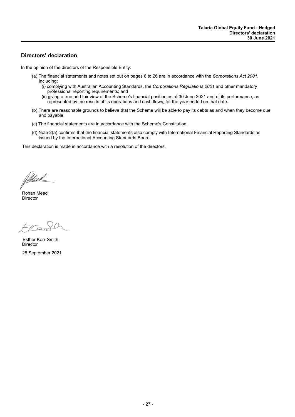## **Directors' declaration**

In the opinion of the directors of the Responsible Entity:

- (a) The financial statements and notes set out on pages 6 to 26 are in accordance with the *Corporations Act 2001*, including:
	- (i) complying with Australian Accounting Standards, the *Corporations Regulations 2001* and other mandatory professional reporting requirements; and
	- (ii) giving a true and fair view of the Scheme's financial position as at 30 June 2021 and of its performance, as represented by the results of its operations and cash flows, for the year ended on that date.
- (b) There are reasonable grounds to believe that the Scheme will be able to pay its debts as and when they become due and payable.
- (c) The financial statements are in accordance with the Scheme's Constitution.
- (d) Note 2(a) confirms that the financial statements also comply with International Financial Reporting Standards as issued by the International Accounting Standards Board.

This declaration is made in accordance with a resolution of the directors.

Millead

Director Rohan Mead

EKaS

**Director** 28 September 2021 Esther Kerr-Smith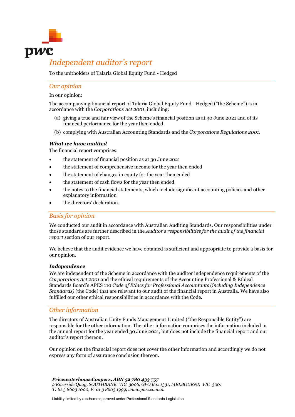

## *Independent auditor's report*

To the unitholders of Talaria Global Equity Fund - Hedged

## *Our opinion*

In our opinion:

The accompanying financial report of Talaria Global Equity Fund - Hedged ("the Scheme") is in accordance with the *Corporations Act 2001*, including:

- (a) giving a true and fair view of the Scheme's financial position as at 30 June 2021 and of its financial performance for the year then ended
- (b) complying with Australian Accounting Standards and the *Corporations Regulations 2001*.

## *What we have audited*

The financial report comprises:

- the statement of financial position as at 30 June 2021
- the statement of comprehensive income for the year then ended
- the statement of changes in equity for the year then ended
- the statement of cash flows for the year then ended
- the notes to the financial statements, which include significant accounting policies and other explanatory information
- the directors' declaration.

## *Basis for opinion*

We conducted our audit in accordance with Australian Auditing Standards. Our responsibilities under those standards are further described in the *Auditor's responsibilities for the audit of the financial report* section of our report.

We believe that the audit evidence we have obtained is sufficient and appropriate to provide a basis for our opinion.

## *Independence*

We are independent of the Scheme in accordance with the auditor independence requirements of the *Corporations Act 2001* and the ethical requirements of the Accounting Professional & Ethical Standards Board's APES 110 *Code of Ethics for Professional Accountants (including Independence Standards)* (the Code) that are relevant to our audit of the financial report in Australia. We have also fulfilled our other ethical responsibilities in accordance with the Code.

## *Other information*

The directors of Australian Unity Funds Management Limited ("the Responsible Entity") are responsible for the other information. The other information comprises the information included in the annual report for the year ended 30 June 2021, but does not include the financial report and our auditor's report thereon.

Our opinion on the financial report does not cover the other information and accordingly we do not express any form of assurance conclusion thereon.

*PricewaterhouseCoopers, ABN 52 780 433 757 2 Riverside Quay, SOUTHBANK VIC 3006, GPO Box 1331, MELBOURNE VIC 3001 T: 61 3 8603 1000, F: 61 3 8603 1999, www.pwc.com.au*

Liability limited by a scheme approved under Professional Standards Legislation.